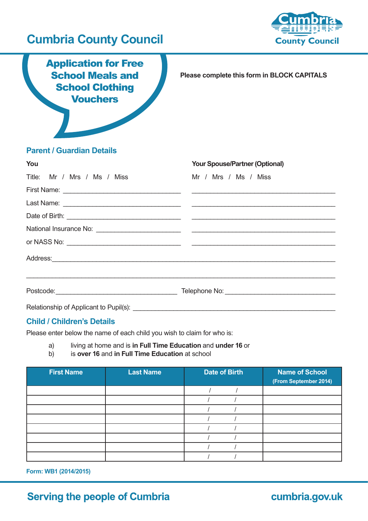## **Cumbria County Council**



Application for Free School Meals and **School Clothing Vouchers** 

**Please complete this form in BLOCK CAPITALS**

### **Parent / Guardian Details**

| You                         | <b>Your Spouse/Partner (Optional)</b> |
|-----------------------------|---------------------------------------|
| Title: Mr / Mrs / Ms / Miss | Mr / Mrs / Ms / Miss                  |
|                             |                                       |
|                             |                                       |
|                             |                                       |
|                             |                                       |
|                             |                                       |
|                             | Address: Address:                     |
|                             |                                       |
|                             |                                       |

### **Child / Children's Details**

Please enter below the name of each child you wish to claim for who is:

# a) living at home and is **in Full Time Education** and **under 16** or

b) is **over 16** and **in Full Time Education** at school

| <b>First Name</b> | <b>Last Name</b> | <b>Date of Birth</b> | <b>Name of School</b><br>(From September 2014) |
|-------------------|------------------|----------------------|------------------------------------------------|
|                   |                  |                      |                                                |
|                   |                  |                      |                                                |
|                   |                  |                      |                                                |
|                   |                  |                      |                                                |
|                   |                  |                      |                                                |
|                   |                  |                      |                                                |
|                   |                  |                      |                                                |
|                   |                  |                      |                                                |

**Form: WB1 (2014/2015)**

### **Serving the people of Cumbria**

### cumbria.gov.uk